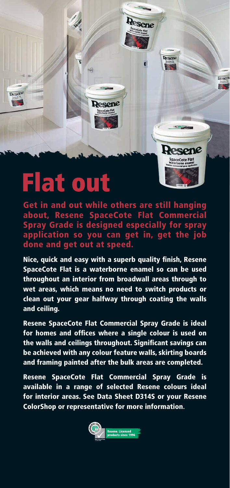

## **Flat out**

Get in and out while others are still hanging about, Resene SpaceCote Flat Commercial Spray Grade is designed especially for spray application so you can get in, get the job done and get out at speed.

Nice, quick and easy with a superb quality finish, Resene SpaceCote Flat is a waterborne enamel so can be used throughout an interior from broadwall areas through to wet areas, which means no need to switch products or clean out your gear halfway through coating the walls and ceiling.

Resene SpaceCote Flat Commercial Spray Grade is ideal for homes and offices where a single colour is used on the walls and ceilings throughout. Significant savings can be achieved with any colour feature walls, skirting boards and framing painted after the bulk areas are completed.

Resene SpaceCote Flat Commercial Spray Grade is available in a range of selected Resene colours ideal for interior areas. See Data Sheet D314S or your Resene ColorShop or representative for more information**.**